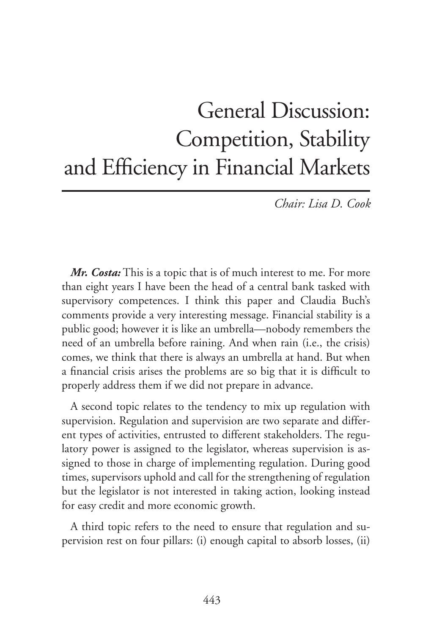## General Discussion: Competition, Stability and Efficiency in Financial Markets

*Chair: Lisa D. Cook*

*Mr. Costa:* This is a topic that is of much interest to me. For more than eight years I have been the head of a central bank tasked with supervisory competences. I think this paper and Claudia Buch's comments provide a very interesting message. Financial stability is a public good; however it is like an umbrella—nobody remembers the need of an umbrella before raining. And when rain (i.e., the crisis) comes, we think that there is always an umbrella at hand. But when a financial crisis arises the problems are so big that it is difficult to properly address them if we did not prepare in advance.

A second topic relates to the tendency to mix up regulation with supervision. Regulation and supervision are two separate and different types of activities, entrusted to different stakeholders. The regulatory power is assigned to the legislator, whereas supervision is assigned to those in charge of implementing regulation. During good times, supervisors uphold and call for the strengthening of regulation but the legislator is not interested in taking action, looking instead for easy credit and more economic growth.

A third topic refers to the need to ensure that regulation and supervision rest on four pillars: (i) enough capital to absorb losses, (ii)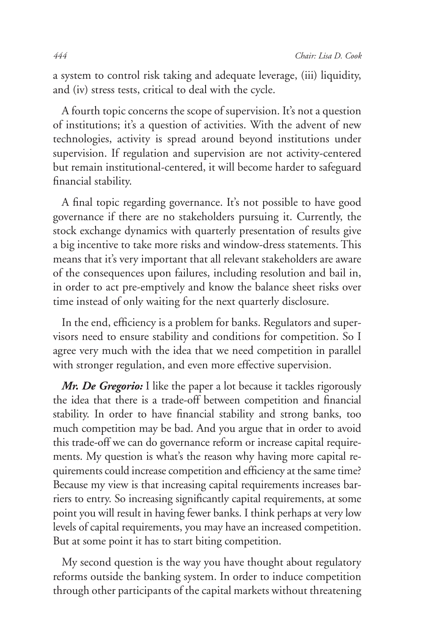a system to control risk taking and adequate leverage, (iii) liquidity, and (iv) stress tests, critical to deal with the cycle.

A fourth topic concerns the scope of supervision. It's not a question of institutions; it's a question of activities. With the advent of new technologies, activity is spread around beyond institutions under supervision. If regulation and supervision are not activity-centered but remain institutional-centered, it will become harder to safeguard financial stability.

A final topic regarding governance. It's not possible to have good governance if there are no stakeholders pursuing it. Currently, the stock exchange dynamics with quarterly presentation of results give a big incentive to take more risks and window-dress statements. This means that it's very important that all relevant stakeholders are aware of the consequences upon failures, including resolution and bail in, in order to act pre-emptively and know the balance sheet risks over time instead of only waiting for the next quarterly disclosure.

In the end, efficiency is a problem for banks. Regulators and supervisors need to ensure stability and conditions for competition. So I agree very much with the idea that we need competition in parallel with stronger regulation, and even more effective supervision.

*Mr. De Gregorio:* I like the paper a lot because it tackles rigorously the idea that there is a trade-off between competition and financial stability. In order to have financial stability and strong banks, too much competition may be bad. And you argue that in order to avoid this trade-off we can do governance reform or increase capital requirements. My question is what's the reason why having more capital requirements could increase competition and efficiency at the same time? Because my view is that increasing capital requirements increases barriers to entry. So increasing significantly capital requirements, at some point you will result in having fewer banks. I think perhaps at very low levels of capital requirements, you may have an increased competition. But at some point it has to start biting competition.

My second question is the way you have thought about regulatory reforms outside the banking system. In order to induce competition through other participants of the capital markets without threatening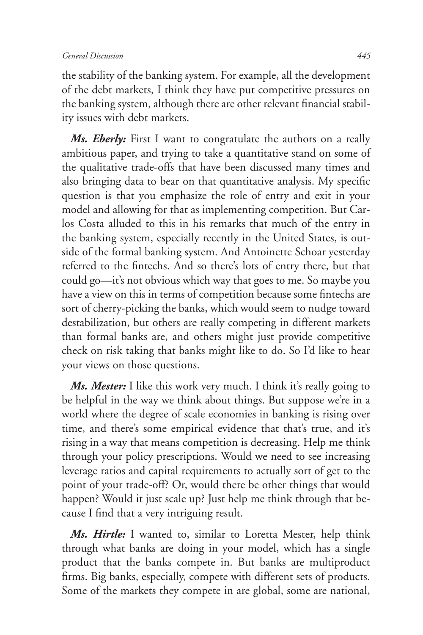the stability of the banking system. For example, all the development of the debt markets, I think they have put competitive pressures on the banking system, although there are other relevant financial stability issues with debt markets.

*Ms. Eberly:* First I want to congratulate the authors on a really ambitious paper, and trying to take a quantitative stand on some of the qualitative trade-offs that have been discussed many times and also bringing data to bear on that quantitative analysis. My specific question is that you emphasize the role of entry and exit in your model and allowing for that as implementing competition. But Carlos Costa alluded to this in his remarks that much of the entry in the banking system, especially recently in the United States, is outside of the formal banking system. And Antoinette Schoar yesterday referred to the fintechs. And so there's lots of entry there, but that could go—it's not obvious which way that goes to me. So maybe you have a view on this in terms of competition because some fintechs are sort of cherry-picking the banks, which would seem to nudge toward destabilization, but others are really competing in different markets than formal banks are, and others might just provide competitive check on risk taking that banks might like to do. So I'd like to hear your views on those questions.

*Ms. Mester:* I like this work very much. I think it's really going to be helpful in the way we think about things. But suppose we're in a world where the degree of scale economies in banking is rising over time, and there's some empirical evidence that that's true, and it's rising in a way that means competition is decreasing. Help me think through your policy prescriptions. Would we need to see increasing leverage ratios and capital requirements to actually sort of get to the point of your trade-off? Or, would there be other things that would happen? Would it just scale up? Just help me think through that because I find that a very intriguing result.

*Ms. Hirtle:* I wanted to, similar to Loretta Mester, help think through what banks are doing in your model, which has a single product that the banks compete in. But banks are multiproduct firms. Big banks, especially, compete with different sets of products. Some of the markets they compete in are global, some are national,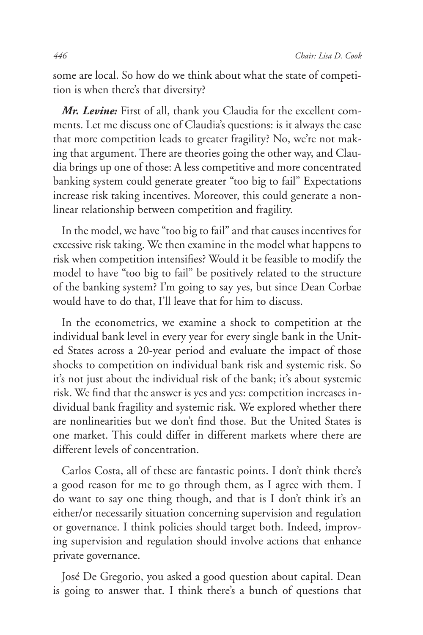some are local. So how do we think about what the state of competition is when there's that diversity?

*Mr. Levine:* First of all, thank you Claudia for the excellent comments. Let me discuss one of Claudia's questions: is it always the case that more competition leads to greater fragility? No, we're not making that argument. There are theories going the other way, and Claudia brings up one of those: A less competitive and more concentrated banking system could generate greater "too big to fail" Expectations increase risk taking incentives. Moreover, this could generate a nonlinear relationship between competition and fragility.

In the model, we have "too big to fail" and that causes incentives for excessive risk taking. We then examine in the model what happens to risk when competition intensifies? Would it be feasible to modify the model to have "too big to fail" be positively related to the structure of the banking system? I'm going to say yes, but since Dean Corbae would have to do that, I'll leave that for him to discuss.

In the econometrics, we examine a shock to competition at the individual bank level in every year for every single bank in the United States across a 20-year period and evaluate the impact of those shocks to competition on individual bank risk and systemic risk. So it's not just about the individual risk of the bank; it's about systemic risk. We find that the answer is yes and yes: competition increases individual bank fragility and systemic risk. We explored whether there are nonlinearities but we don't find those. But the United States is one market. This could differ in different markets where there are different levels of concentration.

Carlos Costa, all of these are fantastic points. I don't think there's a good reason for me to go through them, as I agree with them. I do want to say one thing though, and that is I don't think it's an either/or necessarily situation concerning supervision and regulation or governance. I think policies should target both. Indeed, improving supervision and regulation should involve actions that enhance private governance.

José De Gregorio, you asked a good question about capital. Dean is going to answer that. I think there's a bunch of questions that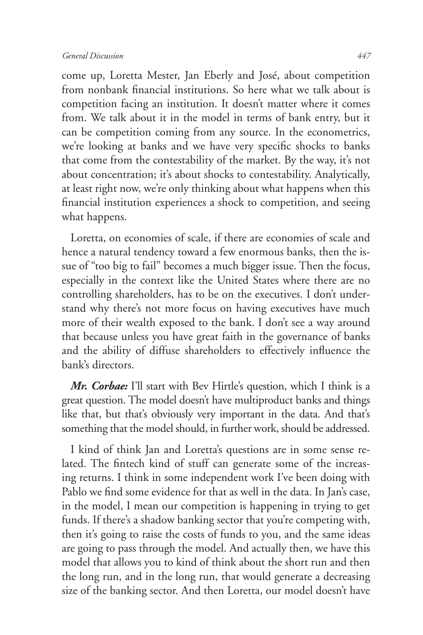come up, Loretta Mester, Jan Eberly and José, about competition from nonbank financial institutions. So here what we talk about is competition facing an institution. It doesn't matter where it comes from. We talk about it in the model in terms of bank entry, but it can be competition coming from any source. In the econometrics, we're looking at banks and we have very specific shocks to banks that come from the contestability of the market. By the way, it's not about concentration; it's about shocks to contestability. Analytically, at least right now, we're only thinking about what happens when this financial institution experiences a shock to competition, and seeing what happens.

Loretta, on economies of scale, if there are economies of scale and hence a natural tendency toward a few enormous banks, then the issue of "too big to fail" becomes a much bigger issue. Then the focus, especially in the context like the United States where there are no controlling shareholders, has to be on the executives. I don't understand why there's not more focus on having executives have much more of their wealth exposed to the bank. I don't see a way around that because unless you have great faith in the governance of banks and the ability of diffuse shareholders to effectively influence the bank's directors.

*Mr. Corbae:* I'll start with Bev Hirtle's question, which I think is a great question. The model doesn't have multiproduct banks and things like that, but that's obviously very important in the data. And that's something that the model should, in further work, should be addressed.

I kind of think Jan and Loretta's questions are in some sense related. The fintech kind of stuff can generate some of the increasing returns. I think in some independent work I've been doing with Pablo we find some evidence for that as well in the data. In Jan's case, in the model, I mean our competition is happening in trying to get funds. If there's a shadow banking sector that you're competing with, then it's going to raise the costs of funds to you, and the same ideas are going to pass through the model. And actually then, we have this model that allows you to kind of think about the short run and then the long run, and in the long run, that would generate a decreasing size of the banking sector. And then Loretta, our model doesn't have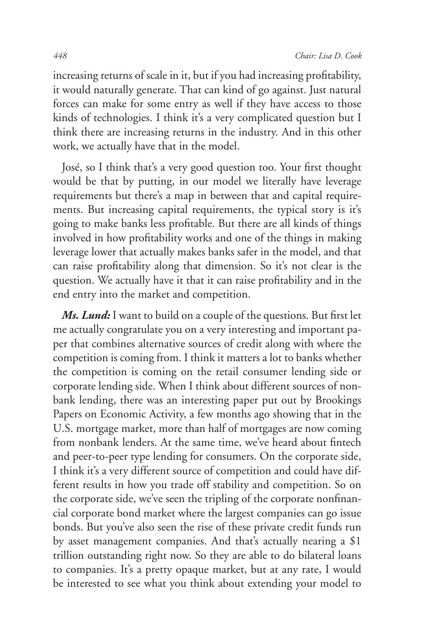increasing returns of scale in it, but if you had increasing profitability, it would naturally generate. That can kind of go against. Just natural forces can make for some entry as well if they have access to those kinds of technologies. I think it's a very complicated question but I think there are increasing returns in the industry. And in this other work, we actually have that in the model.

José, so I think that's a very good question too. Your first thought would be that by putting, in our model we literally have leverage requirements but there's a map in between that and capital requirements. But increasing capital requirements, the typical story is it's going to make banks less profitable. But there are all kinds of things involved in how profitability works and one of the things in making leverage lower that actually makes banks safer in the model, and that can raise profitability along that dimension. So it's not clear is the question. We actually have it that it can raise profitability and in the end entry into the market and competition.

*Ms. Lund:* I want to build on a couple of the questions. But first let me actually congratulate you on a very interesting and important paper that combines alternative sources of credit along with where the competition is coming from. I think it matters a lot to banks whether the competition is coming on the retail consumer lending side or corporate lending side. When I think about different sources of nonbank lending, there was an interesting paper put out by Brookings Papers on Economic Activity, a few months ago showing that in the U.S. mortgage market, more than half of mortgages are now coming from nonbank lenders. At the same time, we've heard about fintech and peer-to-peer type lending for consumers. On the corporate side, I think it's a very different source of competition and could have different results in how you trade off stability and competition. So on the corporate side, we've seen the tripling of the corporate nonfinancial corporate bond market where the largest companies can go issue bonds. But you've also seen the rise of these private credit funds run by asset management companies. And that's actually nearing a \$1 trillion outstanding right now. So they are able to do bilateral loans to companies. It's a pretty opaque market, but at any rate, I would be interested to see what you think about extending your model to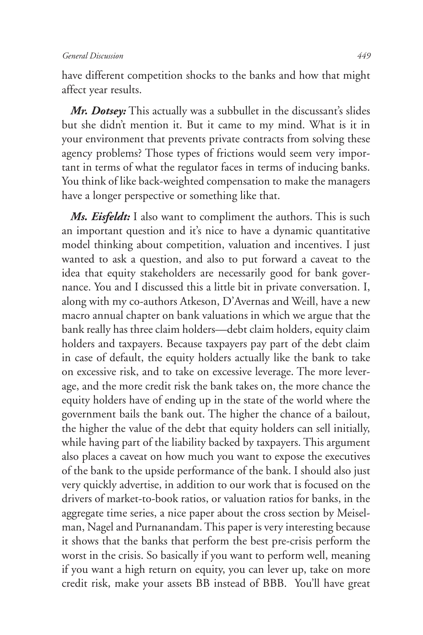have different competition shocks to the banks and how that might affect year results.

*Mr. Dotsey:* This actually was a subbullet in the discussant's slides but she didn't mention it. But it came to my mind. What is it in your environment that prevents private contracts from solving these agency problems? Those types of frictions would seem very important in terms of what the regulator faces in terms of inducing banks. You think of like back-weighted compensation to make the managers have a longer perspective or something like that.

*Ms. Eisfeldt:* I also want to compliment the authors. This is such an important question and it's nice to have a dynamic quantitative model thinking about competition, valuation and incentives. I just wanted to ask a question, and also to put forward a caveat to the idea that equity stakeholders are necessarily good for bank governance. You and I discussed this a little bit in private conversation. I, along with my co-authors Atkeson, D'Avernas and Weill, have a new macro annual chapter on bank valuations in which we argue that the bank really has three claim holders—debt claim holders, equity claim holders and taxpayers. Because taxpayers pay part of the debt claim in case of default, the equity holders actually like the bank to take on excessive risk, and to take on excessive leverage. The more leverage, and the more credit risk the bank takes on, the more chance the equity holders have of ending up in the state of the world where the government bails the bank out. The higher the chance of a bailout, the higher the value of the debt that equity holders can sell initially, while having part of the liability backed by taxpayers. This argument also places a caveat on how much you want to expose the executives of the bank to the upside performance of the bank. I should also just very quickly advertise, in addition to our work that is focused on the drivers of market-to-book ratios, or valuation ratios for banks, in the aggregate time series, a nice paper about the cross section by Meiselman, Nagel and Purnanandam. This paper is very interesting because it shows that the banks that perform the best pre-crisis perform the worst in the crisis. So basically if you want to perform well, meaning if you want a high return on equity, you can lever up, take on more credit risk, make your assets BB instead of BBB. You'll have great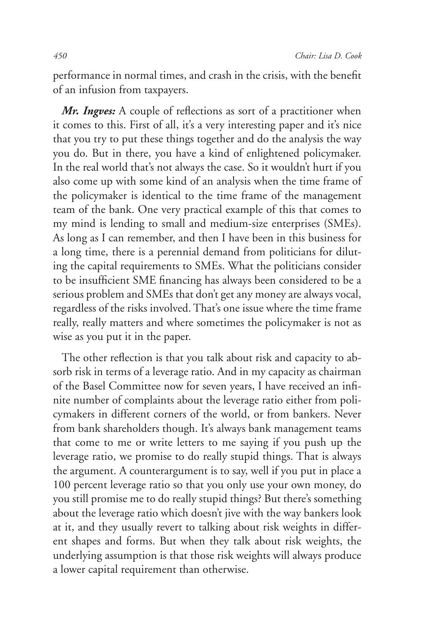performance in normal times, and crash in the crisis, with the benefit of an infusion from taxpayers.

*Mr. Ingves:* A couple of reflections as sort of a practitioner when it comes to this. First of all, it's a very interesting paper and it's nice that you try to put these things together and do the analysis the way you do. But in there, you have a kind of enlightened policymaker. In the real world that's not always the case. So it wouldn't hurt if you also come up with some kind of an analysis when the time frame of the policymaker is identical to the time frame of the management team of the bank. One very practical example of this that comes to my mind is lending to small and medium-size enterprises (SMEs). As long as I can remember, and then I have been in this business for a long time, there is a perennial demand from politicians for diluting the capital requirements to SMEs. What the politicians consider to be insufficient SME financing has always been considered to be a serious problem and SMEs that don't get any money are always vocal, regardless of the risks involved. That's one issue where the time frame really, really matters and where sometimes the policymaker is not as wise as you put it in the paper.

The other reflection is that you talk about risk and capacity to absorb risk in terms of a leverage ratio. And in my capacity as chairman of the Basel Committee now for seven years, I have received an infinite number of complaints about the leverage ratio either from policymakers in different corners of the world, or from bankers. Never from bank shareholders though. It's always bank management teams that come to me or write letters to me saying if you push up the leverage ratio, we promise to do really stupid things. That is always the argument. A counterargument is to say, well if you put in place a 100 percent leverage ratio so that you only use your own money, do you still promise me to do really stupid things? But there's something about the leverage ratio which doesn't jive with the way bankers look at it, and they usually revert to talking about risk weights in different shapes and forms. But when they talk about risk weights, the underlying assumption is that those risk weights will always produce a lower capital requirement than otherwise.